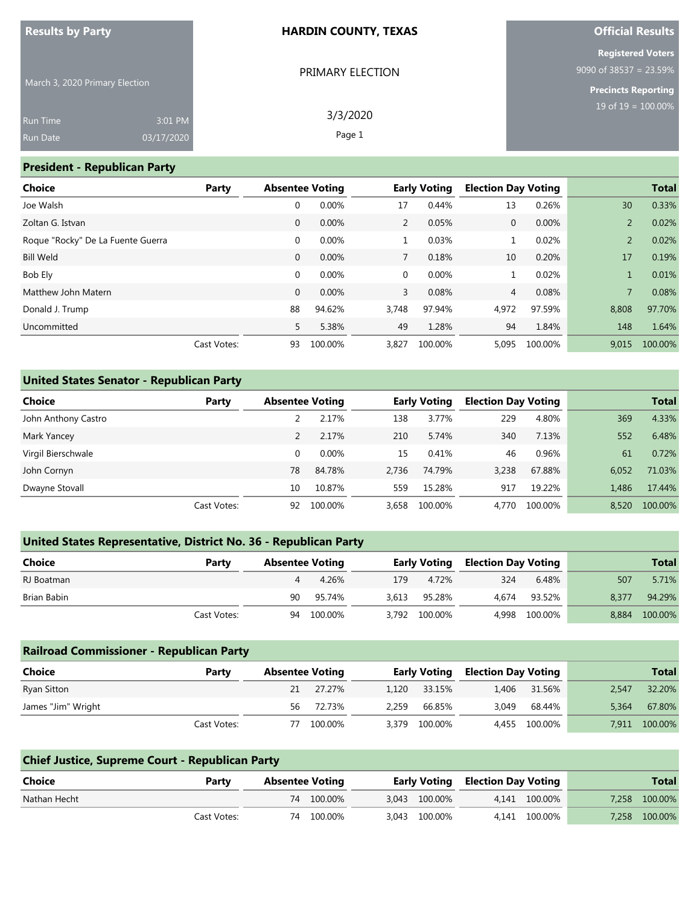#### **HARDIN COUNTY, TEXAS**

3/3/2020 Page 1

March 3, 2020 Primary Election

| PRIMARY ELECTION |  |
|------------------|--|

**Official Results**

**Registered Voters** 9090 of 38537 = 23.59%

> **Precincts Reporting** 19 of 19 = 100.00%

#### **President - Republican Party**

| <b>Choice</b>                     | Party       | <b>Absentee Voting</b> |          |       | <b>Early Voting</b> | <b>Election Day Voting</b> |         |       | <b>Total</b> |
|-----------------------------------|-------------|------------------------|----------|-------|---------------------|----------------------------|---------|-------|--------------|
| Joe Walsh                         |             | 0                      | 0.00%    | 17    | 0.44%               | 13                         | 0.26%   | 30    | 0.33%        |
| Zoltan G. Istvan                  |             | $\mathbf{0}$           | 0.00%    | 2     | 0.05%               | 0                          | 0.00%   | 2     | 0.02%        |
| Roque "Rocky" De La Fuente Guerra |             | 0                      | 0.00%    |       | 0.03%               |                            | 0.02%   |       | 0.02%        |
| <b>Bill Weld</b>                  |             | $\mathbf{0}$           | 0.00%    |       | 0.18%               | 10                         | 0.20%   | 17    | 0.19%        |
| Bob Ely                           |             | 0                      | $0.00\%$ | 0     | 0.00%               |                            | 0.02%   |       | 0.01%        |
| Matthew John Matern               |             | $\mathbf{0}$           | 0.00%    | 3     | 0.08%               | 4                          | 0.08%   | 7     | 0.08%        |
| Donald J. Trump                   |             | 88                     | 94.62%   | 3,748 | 97.94%              | 4,972                      | 97.59%  | 8,808 | 97.70%       |
| Uncommitted                       |             | 5                      | 5.38%    | 49    | 1.28%               | 94                         | 1.84%   | 148   | 1.64%        |
|                                   | Cast Votes: | 93                     | 100.00%  | 3,827 | 100.00%             | 5.095                      | 100.00% | 9.015 | 100.00%      |

#### **United States Senator - Republican Party**

| <b>Choice</b>       | Party       | <b>Absentee Voting</b> |          | <b>Early Voting</b> |         | <b>Election Day Voting</b> |         |       | <b>Total</b> |
|---------------------|-------------|------------------------|----------|---------------------|---------|----------------------------|---------|-------|--------------|
| John Anthony Castro |             |                        | 2.17%    | 138                 | 3.77%   | 229                        | 4.80%   | 369   | 4.33%        |
| Mark Yancey         |             |                        | 2.17%    | 210                 | 5.74%   | 340                        | 7.13%   | 552   | 6.48%        |
| Virgil Bierschwale  |             |                        | $0.00\%$ | 15                  | 0.41%   | 46                         | 0.96%   | 61    | 0.72%        |
| John Cornyn         |             | 78                     | 84.78%   | 2.736               | 74.79%  | 3,238                      | 67.88%  | 6.052 | 71.03%       |
| Dwayne Stovall      |             | 10                     | 10.87%   | 559                 | 15.28%  | 917                        | 19.22%  | 1,486 | 17.44%       |
|                     | Cast Votes: | 92                     | 100.00%  | 3.658               | 100.00% | 4.770                      | 100.00% | 8.520 | 100.00%      |

### **United States Representative, District No. 36 - Republican Party**

| Choice      | Party       | <b>Absentee Voting</b> |            | <b>Early Voting</b> |               | <b>Election Day Voting</b> |               |       | <b>Total</b> |
|-------------|-------------|------------------------|------------|---------------------|---------------|----------------------------|---------------|-------|--------------|
| RJ Boatman  |             |                        | 4.26%      | 179                 | 4.72%         | 324                        | 6.48%         | 507   | 5.71%        |
| Brian Babin |             | 90                     | 95.74%     | 3.613               | 95.28%        | 4.674                      | 93.52%        | 8.377 | 94.29%       |
|             | Cast Votes: |                        | 94 100.00% |                     | 3,792 100.00% |                            | 4,998 100.00% | 8.884 | 100.00%      |

### **Railroad Commissioner - Republican Party Choice Party Absentee Voting Early Voting Election Day Voting Total** Ryan Sitton 21 27.27% 1,120 33.15% 1,406 31.56% 2,547 32.20% James "Jim" Wright 56 72.73% 2,259 66.85% 3,049 68.44% 5,364 67.80% Cast Votes: 77 100.00% 3,379 100.00% 4,455 100.00% 7,911 100.00%

| <b>Chief Justice, Supreme Court - Republican Party</b> |             |                        |            |  |               |                                         |               |  |               |  |
|--------------------------------------------------------|-------------|------------------------|------------|--|---------------|-----------------------------------------|---------------|--|---------------|--|
| Choice                                                 | Party       | <b>Absentee Voting</b> |            |  |               | <b>Early Voting Election Day Voting</b> |               |  | <b>Total</b>  |  |
| Nathan Hecht                                           |             |                        | 74 100.00% |  | 3.043 100.00% |                                         | 4.141 100.00% |  | 7,258 100.00% |  |
|                                                        | Cast Votes: |                        | 74 100.00% |  | 3.043 100.00% |                                         | 4.141 100.00% |  | 7,258 100.00% |  |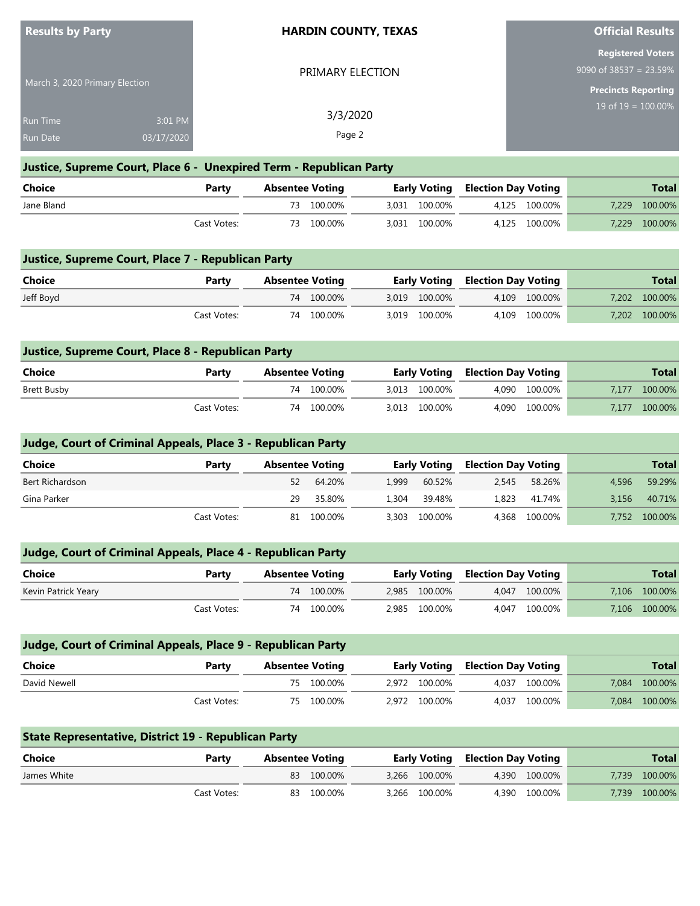| <b>Results by Party</b>            |                       |       | <b>HARDIN COUNTY, TEXAS</b>                                         |                     | <b>Official Results</b>    |                                                                                     |
|------------------------------------|-----------------------|-------|---------------------------------------------------------------------|---------------------|----------------------------|-------------------------------------------------------------------------------------|
| March 3, 2020 Primary Election     |                       |       | PRIMARY ELECTION                                                    |                     |                            | <b>Registered Voters</b><br>9090 of $38537 = 23.59\%$<br><b>Precincts Reporting</b> |
| <b>Run Time</b><br><b>Run Date</b> | 3:01 PM<br>03/17/2020 |       | 3/3/2020<br>Page 2                                                  |                     | $19$ of $19 = 100.00\%$    |                                                                                     |
|                                    |                       |       | Justice, Supreme Court, Place 6 - Unexpired Term - Republican Party |                     |                            |                                                                                     |
| <b>Choice</b>                      |                       | Party | <b>Absentee Voting</b>                                              | <b>Early Voting</b> | <b>Election Day Voting</b> | <b>Total</b>                                                                        |
| Jane Bland                         |                       |       | 100.00%<br>73                                                       | 100.00%<br>3,031    | 100.00%<br>4,125           | 7,229<br>100.00%                                                                    |

| Choice                                             | Party       | <b>Absentee Voting</b> |               | <b>Early Voting Election Day Voting</b> |               |       | <b>Total</b> |
|----------------------------------------------------|-------------|------------------------|---------------|-----------------------------------------|---------------|-------|--------------|
| Justice, Supreme Court, Place 7 - Republican Party |             |                        |               |                                         |               |       |              |
|                                                    |             |                        |               |                                         |               |       |              |
|                                                    | Cast Votes: | 100.00%<br>73          | 3.031 100.00% |                                         | 4.125 100.00% | 7.229 | 100.00%      |

| - פווטוני | . u. cv     | <b>ANSCHLUD VOLUIG</b> |         |               | Early voting Liection Day voting |                 |           | .       |
|-----------|-------------|------------------------|---------|---------------|----------------------------------|-----------------|-----------|---------|
| Jeff Boyd |             | 74                     | 100.00% | 3,019 100.00% | 4.109                            | $\sim 100.00\%$ | $7.202 -$ | 100.00% |
|           | Cast Votes: | 74                     | 100.00% | 3,019 100.00% | 4.109                            | 100.00%         | 7.202     | 100.00% |

| Justice, Supreme Court, Place 8 - Republican Party |             |                        |            |                     |  |                            |       |              |
|----------------------------------------------------|-------------|------------------------|------------|---------------------|--|----------------------------|-------|--------------|
| Choice                                             | Party       | <b>Absentee Voting</b> |            | <b>Early Voting</b> |  | <b>Election Day Voting</b> |       | <b>Total</b> |
| Brett Busby                                        |             |                        | 74 100.00% | 3.013 100.00%       |  | 4.090 100.00%              | 7.177 | 100.00%      |
|                                                    | Cast Votes: |                        | 74 100.00% | 3.013 100.00%       |  | 4.090 100.00%              | 7.177 | 100.00%      |

# **Judge, Court of Criminal Appeals, Place 3 - Republican Party**

| Choice          | Party       | <b>Absentee Voting</b> |            |       |               | <b>Early Voting Election Day Voting</b> |               |       | <b>Total</b> |
|-----------------|-------------|------------------------|------------|-------|---------------|-----------------------------------------|---------------|-------|--------------|
| Bert Richardson |             | 52                     | 64.20%     | 1.999 | 60.52%        | 2.545                                   | 58.26%        | 4.596 | 59.29%       |
| Gina Parker     |             | 29                     | 35.80%     | 1.304 | 39.48%        | 1,823                                   | 41.74%        | 3.156 | 40.71%       |
|                 | Cast Votes: |                        | 81 100.00% |       | 3.303 100.00% |                                         | 4.368 100.00% | 7.752 | 100.00%      |

| <b>Judge, Court of Criminal Appeals, Place 4 - Republican Party</b> |             |                        |            |  |               |                                         |               |  |               |  |  |
|---------------------------------------------------------------------|-------------|------------------------|------------|--|---------------|-----------------------------------------|---------------|--|---------------|--|--|
| Choice                                                              | Party       | <b>Absentee Voting</b> |            |  |               | <b>Early Voting Election Day Voting</b> |               |  | <b>Total</b>  |  |  |
| Kevin Patrick Yeary                                                 |             |                        | 74 100.00% |  | 2,985 100.00% |                                         | 4.047 100.00% |  | 7,106 100.00% |  |  |
|                                                                     | Cast Votes: |                        | 74 100.00% |  | 2,985 100.00% |                                         | 4.047 100.00% |  | 7,106 100.00% |  |  |

| <b>Judge, Court of Criminal Appeals, Place 9 - Republican Party</b> |             |                        |            |  |               |                            |               |       |              |
|---------------------------------------------------------------------|-------------|------------------------|------------|--|---------------|----------------------------|---------------|-------|--------------|
| Choice                                                              | Party       | <b>Absentee Voting</b> |            |  | Early Voting  | <b>Election Day Voting</b> |               |       | <b>Total</b> |
| David Newell                                                        |             |                        | 75 100.00% |  | 2.972 100.00% |                            | 4.037 100.00% | 7.084 | 100.00%      |
|                                                                     | Cast Votes: |                        | 75 100.00% |  | 2.972 100.00% | 4.037                      | 100.00%       | 7.084 | 100.00%      |

| <b>State Representative, District 19 - Republican Party</b> |             |                        |            |  |                                         |  |               |       |              |  |
|-------------------------------------------------------------|-------------|------------------------|------------|--|-----------------------------------------|--|---------------|-------|--------------|--|
| Choice                                                      | Party       | <b>Absentee Voting</b> |            |  | <b>Early Voting Election Day Voting</b> |  |               |       | <b>Total</b> |  |
| James White                                                 |             |                        | 83 100.00% |  | 3.266 100.00%                           |  | 4.390 100.00% | 7.739 | 100.00%      |  |
|                                                             | Cast Votes: |                        | 83 100.00% |  | 3.266 100.00%                           |  | 4.390 100.00% | 7.739 | 100.00%      |  |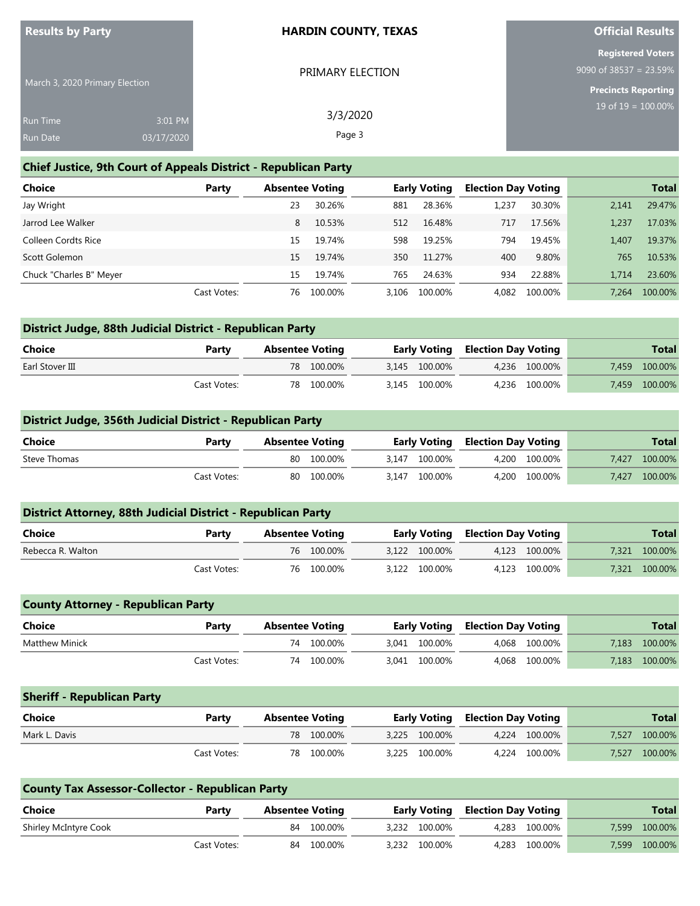#### **Chief Justice, 9th Court of Appeals District - Republican Party**

| <b>Choice</b>           | Party       | <b>Absentee Voting</b> |         |       | <b>Early Voting</b> | <b>Election Day Voting</b> |         |       | <b>Total</b> |
|-------------------------|-------------|------------------------|---------|-------|---------------------|----------------------------|---------|-------|--------------|
| Jay Wright              |             | 23                     | 30.26%  | 881   | 28.36%              | 1.237                      | 30.30%  | 2.141 | 29.47%       |
| Jarrod Lee Walker       |             | 8                      | 10.53%  | 512   | 16.48%              | 717                        | 17.56%  | 1.237 | 17.03%       |
| Colleen Cordts Rice     |             | 15                     | 19.74%  | 598   | 19.25%              | 794                        | 19.45%  | 1.407 | 19.37%       |
| Scott Golemon           |             | 15                     | 19.74%  | 350   | 11.27%              | 400                        | 9.80%   | 765   | 10.53%       |
| Chuck "Charles B" Meyer |             | 15                     | 19.74%  | 765   | 24.63%              | 934                        | 22.88%  | 1.714 | 23.60%       |
|                         | Cast Votes: | 76.                    | 100.00% | 3.106 | 100.00%             | 4.082                      | 100.00% | 7.264 | 100.00%      |

| District Judge, 88th Judicial District - Republican Party |             |                        |            |  |                                         |  |               |       |              |  |
|-----------------------------------------------------------|-------------|------------------------|------------|--|-----------------------------------------|--|---------------|-------|--------------|--|
| Choice                                                    | Party       | <b>Absentee Voting</b> |            |  | <b>Early Voting Election Day Voting</b> |  |               |       | <b>Total</b> |  |
| Earl Stover III                                           |             |                        | 78 100.00% |  | 3.145 100.00%                           |  | 4.236 100.00% | 7.459 | 100.00%      |  |
|                                                           | Cast Votes: |                        | 78 100.00% |  | 3.145 100.00%                           |  | 4.236 100.00% | 7.459 | 100.00%      |  |

#### **District Judge, 356th Judicial District - Republican Party**

| Choice       | Party       | <b>Absentee Voting</b> |            | <b>Early Voting Election Day Voting</b> |               |               |       | <b>Total</b>  |
|--------------|-------------|------------------------|------------|-----------------------------------------|---------------|---------------|-------|---------------|
| Steve Thomas |             |                        | 80 100.00% |                                         | 3.147 100.00% | 4.200 100.00% | 7.427 | 100.00%       |
|              | Cast Votes: |                        | 80 100.00% |                                         | 3.147 100.00% | 4.200 100.00% |       | 7,427 100.00% |

| District Attorney, 88th Judicial District - Republican Party |             |                        |            |  |               |  |                            |  |               |  |
|--------------------------------------------------------------|-------------|------------------------|------------|--|---------------|--|----------------------------|--|---------------|--|
| Choice                                                       | Party       | <b>Absentee Voting</b> |            |  | Early Voting  |  | <b>Election Day Voting</b> |  | <b>Total</b>  |  |
| Rebecca R. Walton                                            |             |                        | 76 100.00% |  | 3.122 100.00% |  | 4,123 100.00%              |  | 7,321 100.00% |  |
|                                                              | Cast Votes: |                        | 76 100.00% |  | 3.122 100.00% |  | 4.123 100.00%              |  | 7,321 100.00% |  |

| <b>County Attorney - Republican Party</b> |             |                        |            |  |               |                                         |               |       |              |
|-------------------------------------------|-------------|------------------------|------------|--|---------------|-----------------------------------------|---------------|-------|--------------|
| Choice                                    | Party       | <b>Absentee Voting</b> |            |  |               | <b>Early Voting Election Day Voting</b> |               |       | <b>Total</b> |
| Matthew Minick                            |             |                        | 74 100.00% |  | 3.041 100.00% |                                         | 4.068 100.00% | 7.183 | 100.00%      |
|                                           | Cast Votes: |                        | 74 100.00% |  | 3,041 100.00% |                                         | 4,068 100.00% | 7.183 | 100.00%      |

| <b>Sheriff - Republican Party</b> |             |                        |            |               |                                         |               |       |              |
|-----------------------------------|-------------|------------------------|------------|---------------|-----------------------------------------|---------------|-------|--------------|
| <b>Choice</b>                     | Party       | <b>Absentee Voting</b> |            |               | <b>Early Voting Election Day Voting</b> |               |       | <b>Total</b> |
| Mark L. Davis                     |             |                        | 78 100.00% | 3.225 100.00% |                                         | 4.224 100.00% | 7.527 | 100.00%      |
|                                   | Cast Votes: |                        | 78 100.00% | 3.225 100.00% |                                         | 4.224 100.00% | 7.527 | 100.00%      |

| <b>County Tax Assessor-Collector - Republican Party</b> |             |                        |            |  |               |                                         |               |       |              |  |  |
|---------------------------------------------------------|-------------|------------------------|------------|--|---------------|-----------------------------------------|---------------|-------|--------------|--|--|
| Choice                                                  | Party       | <b>Absentee Voting</b> |            |  |               | <b>Early Voting Election Day Voting</b> |               |       | <b>Total</b> |  |  |
| Shirley McIntyre Cook                                   |             |                        | 84 100.00% |  | 3.232 100.00% |                                         | 4.283 100.00% | 7.599 | 100.00%      |  |  |
|                                                         | Cast Votes: |                        | 84 100.00% |  | 3,232 100.00% |                                         | 4.283 100.00% | 7.599 | 100.00%      |  |  |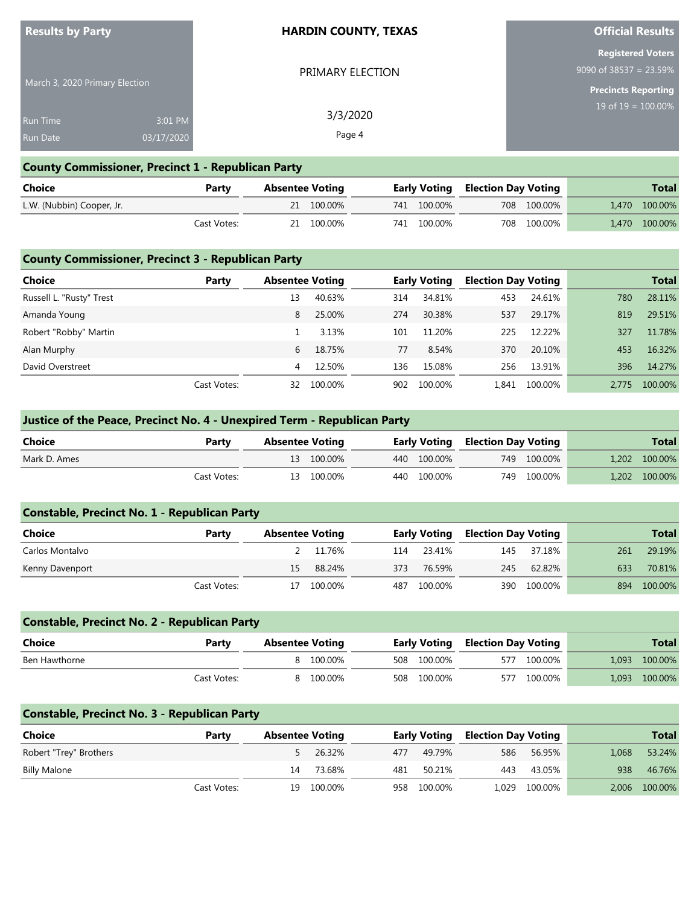#### **HARDIN COUNTY, TEXAS**

PRIMARY ELECTION

3/3/2020 Page 4

March 3, 2020 Primary Election

| Run Time | $3:01$ PM  |
|----------|------------|
| Run Date | 03/17/2020 |

#### **County Commissioner, Precinct 1 - Republican Party**

| Choice                    | Party       | Absentee Voting |            |  |             | <b>Early Voting Election Day Voting</b> |             | <b>Total</b>  |
|---------------------------|-------------|-----------------|------------|--|-------------|-----------------------------------------|-------------|---------------|
| L.W. (Nubbin) Cooper, Jr. |             |                 | 21 100.00% |  | 741 100.00% |                                         | 708 100.00% | 1,470 100.00% |
|                           | Cast Votes: |                 | 21 100.00% |  | 741 100.00% |                                         | 708 100.00% | 1,470 100.00% |

### **County Commissioner, Precinct 3 - Republican Party**

| <b>Choice</b>            | Party       | <b>Absentee Voting</b> |         | <b>Early Voting</b> |         | <b>Election Day Voting</b> |         |       | <b>Total</b> |
|--------------------------|-------------|------------------------|---------|---------------------|---------|----------------------------|---------|-------|--------------|
| Russell L. "Rusty" Trest |             | 13                     | 40.63%  | 314                 | 34.81%  | 453                        | 24.61%  | 780   | 28.11%       |
| Amanda Young             |             | 8                      | 25.00%  | 274                 | 30.38%  | 537                        | 29.17%  | 819   | 29.51%       |
| Robert "Robby" Martin    |             |                        | 3.13%   | 101                 | 11.20%  | 225                        | 12.22%  | 327   | 11.78%       |
| Alan Murphy              |             | 6                      | 18.75%  | 77                  | 8.54%   | 370                        | 20.10%  | 453   | 16.32%       |
| David Overstreet         |             | 4                      | 12.50%  | 136                 | 15.08%  | 256                        | 13.91%  | 396   | 14.27%       |
|                          | Cast Votes: | 32                     | 100.00% | 902                 | 100.00% | 1.841                      | 100.00% | 2.775 | 100.00%      |

### **Justice of the Peace, Precinct No. 4 - Unexpired Term - Republican Party**

| Choice       | Party       | <b>Absentee Voting</b> |            |  |             | <b>Early Voting Election Day Voting</b> |             | <b>Total</b>  |
|--------------|-------------|------------------------|------------|--|-------------|-----------------------------------------|-------------|---------------|
| Mark D. Ames |             |                        | 13 100.00% |  | 440 100.00% |                                         | 749 100.00% | 1,202 100.00% |
|              | Cast Votes: |                        | 13 100.00% |  | 440 100.00% |                                         | 749 100.00% | 1,202 100.00% |

| <b>Constable, Precinct No. 1 - Republican Party</b> |             |    |                        |     |                     |                            |             |     |              |
|-----------------------------------------------------|-------------|----|------------------------|-----|---------------------|----------------------------|-------------|-----|--------------|
| Choice                                              | Party       |    | <b>Absentee Voting</b> |     | <b>Early Voting</b> | <b>Election Day Voting</b> |             |     | <b>Total</b> |
| Carlos Montalvo                                     |             |    | 2 11.76%               | 114 | 23 41%              | 145                        | 37.18%      | 261 | 29.19%       |
| Kenny Davenport                                     |             | 15 | 88.24%                 | 373 | 76.59%              | 245                        | 62.82%      | 633 | 70.81%       |
|                                                     | Cast Votes: | 17 | 100.00%                | 487 | 100.00%             |                            | 390 100.00% | 894 | 100.00%      |

| <b>Constable, Precinct No. 2 - Republican Party</b> |             |                        |           |  |                     |                            |         |       |              |
|-----------------------------------------------------|-------------|------------------------|-----------|--|---------------------|----------------------------|---------|-------|--------------|
| <b>Choice</b>                                       | Party       | <b>Absentee Voting</b> |           |  | <b>Early Voting</b> | <b>Election Day Voting</b> |         |       | <b>Total</b> |
| Ben Hawthorne                                       |             |                        | 8 100.00% |  | 508 100.00%         | 577                        | 100.00% | 1.093 | 100.00%      |
|                                                     | Cast Votes: |                        | 100.00%   |  | 508 100.00%         | 577                        | 100.00% | 1.093 | 100.00%      |

#### **Constable, Precinct No. 3 - Republican Party**

| Choice                 | Party       | <b>Absentee Voting</b> |            |     | <b>Early Voting</b> | <b>Election Day Voting</b> |               |       | <b>Total</b>  |
|------------------------|-------------|------------------------|------------|-----|---------------------|----------------------------|---------------|-------|---------------|
| Robert "Trey" Brothers |             |                        | 5 26.32%   | 477 | 49.79%              | 586                        | 56.95%        | 1.068 | 53.24%        |
| <b>Billy Malone</b>    |             | 14                     | 73.68%     | 481 | 50.21%              | 443                        | 43.05%        | 938   | 46.76%        |
|                        | Cast Votes: |                        | 19 100.00% |     | 958 100.00%         |                            | 1,029 100.00% |       | 2,006 100.00% |

### **Official Results**

**Registered Voters** 9090 of 38537 = 23.59%

**Precincts Reporting**

19 of 19 = 100.00%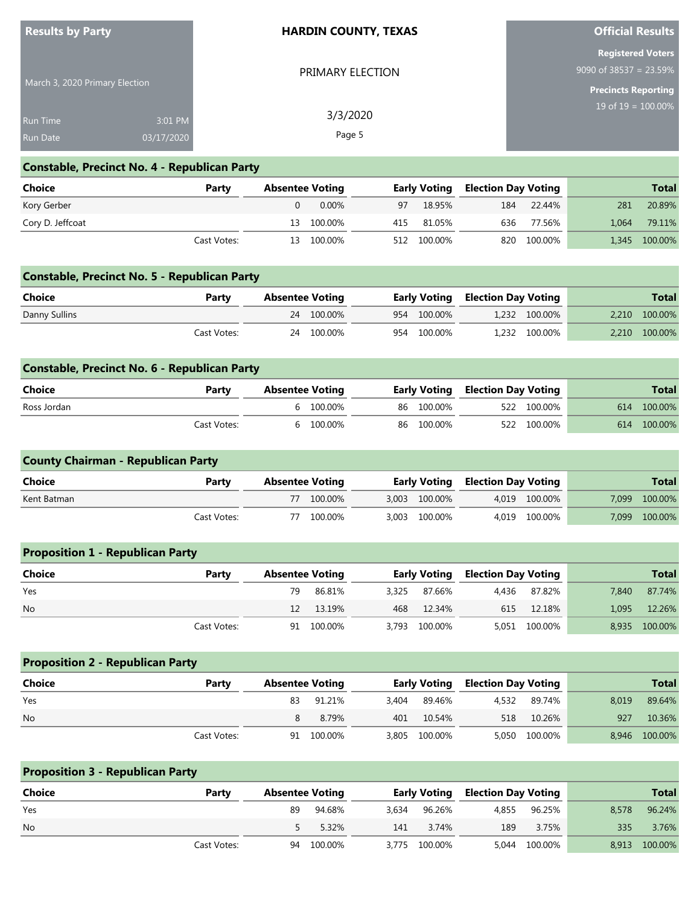| <b>Results by Party</b>        |            | <b>HARDIN COUNTY, TEXAS</b> | <b>Official Results</b>                               |
|--------------------------------|------------|-----------------------------|-------------------------------------------------------|
|                                |            | PRIMARY ELECTION            | <b>Registered Voters</b><br>9090 of $38537 = 23.59\%$ |
| March 3, 2020 Primary Election |            |                             | <b>Precincts Reporting</b>                            |
| <b>Run Time</b>                | 3:01 PM    | 3/3/2020                    | 19 of $19 = 100.00\%$                                 |
| <b>Run Date</b>                | 03/17/2020 | Page 5                      |                                                       |

**College** 

## **Constable, Precinct No. 4 - Republican Party**

| <b>Choice</b>    | Party       | <b>Absentee Voting</b> |            |    | <b>Early Voting</b> | <b>Election Day Voting</b> |             |     | <b>Total</b>  |
|------------------|-------------|------------------------|------------|----|---------------------|----------------------------|-------------|-----|---------------|
| Kory Gerber      |             |                        | $0.00\%$   | 97 | 18.95%              | 184                        | 22.44%      | 281 | 20.89%        |
| Cory D. Jeffcoat |             |                        | 13 100.00% |    | 415 81.05%          | 636                        | 77.56%      |     | 1,064 79.11%  |
|                  | Cast Votes: |                        | 13 100.00% |    | 512 100.00%         |                            | 820 100.00% |     | 1,345 100.00% |

## **Constable, Precinct No. 5 - Republican Party**

| <b>Choice</b> | Party       | Absentee Voting |  | <b>Early Voting Election Day Voting</b> |  | <b>Total</b>  |  |               |
|---------------|-------------|-----------------|--|-----------------------------------------|--|---------------|--|---------------|
| Danny Sullins |             | 24 100.00%      |  | 954 100.00%                             |  | 1.232 100.00% |  | 2,210 100.00% |
|               | Cast Votes: | 24 100.00%      |  | 954 100.00%                             |  | 1.232 100.00% |  | 2.210 100.00% |

| <b>Constable, Precinct No. 6 - Republican Party</b> |             |                        |  |            |                                         |             |  |              |  |
|-----------------------------------------------------|-------------|------------------------|--|------------|-----------------------------------------|-------------|--|--------------|--|
| Choice                                              | Party       | <b>Absentee Voting</b> |  |            | <b>Early Voting Election Day Voting</b> |             |  | <b>Total</b> |  |
| Ross Jordan                                         |             | 6 100.00%              |  | 86 100.00% |                                         | 522 100.00% |  | 614 100.00%  |  |
|                                                     | Cast Votes: | 6 100.00%              |  | 86 100.00% |                                         | 522 100.00% |  | 614 100.00%  |  |

| <b>County Chairman - Republican Party</b> |             |                        |            |  |               |                                         |               |       |              |
|-------------------------------------------|-------------|------------------------|------------|--|---------------|-----------------------------------------|---------------|-------|--------------|
| <b>Choice</b>                             | Party       | <b>Absentee Voting</b> |            |  |               | <b>Early Voting Election Day Voting</b> |               |       | <b>Total</b> |
| Kent Batman                               |             |                        | 77 100.00% |  | 3,003 100.00% |                                         | 4.019 100.00% | 7.099 | 100.00%      |
|                                           | Cast Votes: |                        | 77 100.00% |  | 3,003 100.00% |                                         | 4,019 100.00% | 7.099 | 100.00%      |

| <b>Proposition 1 - Republican Party</b> |             |                        |            |       |               |                                         |               |       |               |  |
|-----------------------------------------|-------------|------------------------|------------|-------|---------------|-----------------------------------------|---------------|-------|---------------|--|
| Choice                                  | Party       | <b>Absentee Voting</b> |            |       |               | <b>Early Voting Election Day Voting</b> |               |       | <b>Total</b>  |  |
| Yes                                     |             | 79                     | 86.81%     | 3,325 | 87.66%        | 4.436                                   | 87.82%        | 7.840 | 87.74%        |  |
| <b>No</b>                               |             | 12                     | 13.19%     |       | 468 12.34%    |                                         | 615 12.18%    | 1.095 | 12.26%        |  |
|                                         | Cast Votes: |                        | 91 100.00% |       | 3,793 100.00% |                                         | 5,051 100.00% |       | 8,935 100.00% |  |

| <b>Proposition 2 - Republican Party</b> |             |                        |            |       |                     |                            |               |       |               |
|-----------------------------------------|-------------|------------------------|------------|-------|---------------------|----------------------------|---------------|-------|---------------|
| <b>Choice</b>                           | Party       | <b>Absentee Voting</b> |            |       | <b>Early Voting</b> | <b>Election Day Voting</b> |               |       | <b>Total</b>  |
| Yes                                     |             | 83                     | 91.21%     | 3.404 | 89.46%              | 4,532                      | 89.74%        | 8.019 | 89.64%        |
| <b>No</b>                               |             |                        | 8.79%      | 401   | 10.54%              | 518                        | 10.26%        | 927   | 10.36%        |
|                                         | Cast Votes: |                        | 91 100.00% |       | 3,805 100.00%       |                            | 5,050 100.00% |       | 8,946 100.00% |

| <b>Proposition 3 - Republican Party</b> |             |                        |            |       |                     |                            |               |       |               |
|-----------------------------------------|-------------|------------------------|------------|-------|---------------------|----------------------------|---------------|-------|---------------|
| Choice                                  | Party       | <b>Absentee Voting</b> |            |       | <b>Early Voting</b> | <b>Election Day Voting</b> |               |       | <b>Total</b>  |
| Yes                                     |             | 89                     | 94.68%     | 3.634 | 96.26%              | 4,855                      | 96.25%        | 8.578 | 96.24%        |
| <b>No</b>                               |             |                        | 5.32%      | 141   | 3.74%               | 189                        | 3.75%         | 335   | 3.76%         |
|                                         | Cast Votes: |                        | 94 100.00% |       | 3,775 100.00%       |                            | 5,044 100.00% |       | 8,913 100.00% |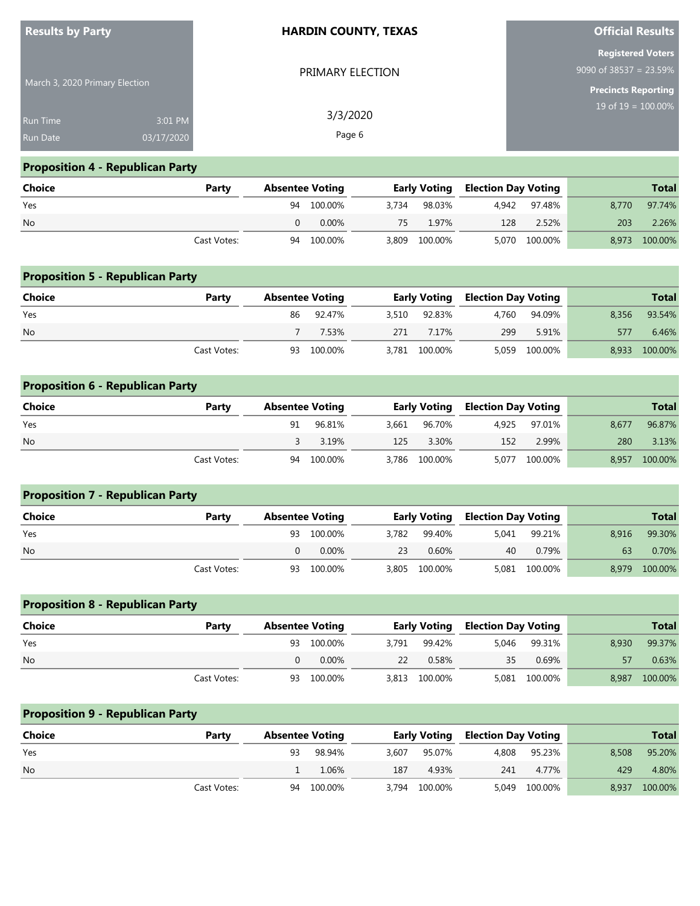| <b>Results by Party</b>            |                       | <b>HARDIN COUNTY, TEXAS</b> | <b>Official Results</b>                                                             |  |  |
|------------------------------------|-----------------------|-----------------------------|-------------------------------------------------------------------------------------|--|--|
| March 3, 2020 Primary Election     |                       | PRIMARY ELECTION            | <b>Registered Voters</b><br>9090 of $38537 = 23.59\%$<br><b>Precincts Reporting</b> |  |  |
| <b>Run Time</b><br><b>Run Date</b> | 3:01 PM<br>03/17/2020 | 3/3/2020<br>Page 6          | $19$ of $19 = 100.00\%$                                                             |  |  |

## **Proposition 4 - Republican Party**

| <b>Choice</b> | Party       | <b>Absentee Voting</b> |    |               | <b>Early Voting Election Day Voting</b> |               |       | <b>Total</b>  |
|---------------|-------------|------------------------|----|---------------|-----------------------------------------|---------------|-------|---------------|
| Yes           |             | 94 100.00%             |    | 3.734 98.03%  |                                         | 4.942 97.48%  | 8.770 | 97.74%        |
| <b>No</b>     |             | 0.00%                  | 75 | 1.97%         | 128                                     | 2.52%         | 203   | 2.26%         |
|               | Cast Votes: | 94 100.00%             |    | 3,809 100.00% |                                         | 5,070 100.00% |       | 8,973 100.00% |

| <b>Proposition 5 - Republican Party</b> |             |                        |            |       |                     |       |                            |       |              |
|-----------------------------------------|-------------|------------------------|------------|-------|---------------------|-------|----------------------------|-------|--------------|
| <b>Choice</b>                           | Party       | <b>Absentee Voting</b> |            |       | <b>Early Voting</b> |       | <b>Election Day Voting</b> |       | <b>Total</b> |
| Yes                                     |             | 86                     | 92.47%     | 3.510 | 92.83%              | 4.760 | 94.09%                     | 8.356 | 93.54%       |
| <b>No</b>                               |             |                        | 7.53%      | 271   | 7.17%               | 299   | 5.91%                      | 577   | 6.46%        |
|                                         | Cast Votes: |                        | 93 100.00% | 3.781 | 100.00%             | 5,059 | 100.00%                    | 8.933 | 100.00%      |

| <b>Proposition 6 - Republican Party</b> |             |                        |         |       |                     |       |                            |       |              |
|-----------------------------------------|-------------|------------------------|---------|-------|---------------------|-------|----------------------------|-------|--------------|
| Choice                                  | Party       | <b>Absentee Voting</b> |         |       | <b>Early Voting</b> |       | <b>Election Day Voting</b> |       | <b>Total</b> |
| Yes                                     |             | 91                     | 96.81%  | 3.661 | 96.70%              | 4.925 | 97.01%                     | 8.677 | 96.87%       |
| <b>No</b>                               |             |                        | 3.19%   | 125   | 3.30%               | 152   | 2.99%                      | 280   | 3.13%        |
|                                         | Cast Votes: | 94                     | 100.00% |       | 3,786 100.00%       | 5,077 | 100.00%                    | 8,957 | 100.00%      |

| <b>Proposition 7 - Republican Party</b> |             |                        |       |                     |       |                            |       |              |
|-----------------------------------------|-------------|------------------------|-------|---------------------|-------|----------------------------|-------|--------------|
| Choice                                  | Party       | <b>Absentee Voting</b> |       | <b>Early Voting</b> |       | <b>Election Day Voting</b> |       | <b>Total</b> |
| Yes                                     |             | 93 100.00%             | 3.782 | 99.40%              | 5.041 | 99.21%                     | 8.916 | 99.30%       |
| <b>No</b>                               |             | $0.00\%$               | 23    | 0.60%               | 40    | 0.79%                      | 63    | 0.70%        |
|                                         | Cast Votes: | 93 100.00%             |       | 3,805 100.00%       |       | 5,081 100.00%              | 8,979 | 100.00%      |

| <b>Proposition 8 - Republican Party</b> |             |                        |            |       |                     |       |                            |       |              |  |  |  |  |  |
|-----------------------------------------|-------------|------------------------|------------|-------|---------------------|-------|----------------------------|-------|--------------|--|--|--|--|--|
| <b>Choice</b>                           | Party       | <b>Absentee Voting</b> |            |       | <b>Early Voting</b> |       | <b>Election Day Voting</b> |       | <b>Total</b> |  |  |  |  |  |
| Yes                                     |             |                        | 93 100.00% | 3.791 | 99.42%              | 5.046 | 99.31%                     | 8.930 | 99.37%       |  |  |  |  |  |
| <b>No</b>                               |             | 0                      | 0.00%      | 22    | 0.58%               | 35    | 0.69%                      |       | 0.63%        |  |  |  |  |  |
|                                         | Cast Votes: |                        | 93 100.00% |       | 3,813 100.00%       |       | 5,081 100.00%              | 8.987 | 100.00%      |  |  |  |  |  |

| <b>Proposition 9 - Republican Party</b> |             |    |                        |       |                     |       |                            |       |              |  |  |  |  |
|-----------------------------------------|-------------|----|------------------------|-------|---------------------|-------|----------------------------|-------|--------------|--|--|--|--|
| <b>Choice</b>                           | Party       |    | <b>Absentee Voting</b> |       | <b>Early Voting</b> |       | <b>Election Day Voting</b> |       | <b>Total</b> |  |  |  |  |
| Yes                                     |             | 93 | 98.94%                 | 3.607 | 95.07%              | 4,808 | 95.23%                     | 8.508 | 95.20%       |  |  |  |  |
| <b>No</b>                               |             |    | 1.06%                  | 187   | 4.93%               | 241   | 4.77%                      | 429   | 4.80%        |  |  |  |  |
|                                         | Cast Votes: |    | 94 100.00%             | 3.794 | 100.00%             |       | 5,049 100.00%              | 8,937 | 100.00%      |  |  |  |  |